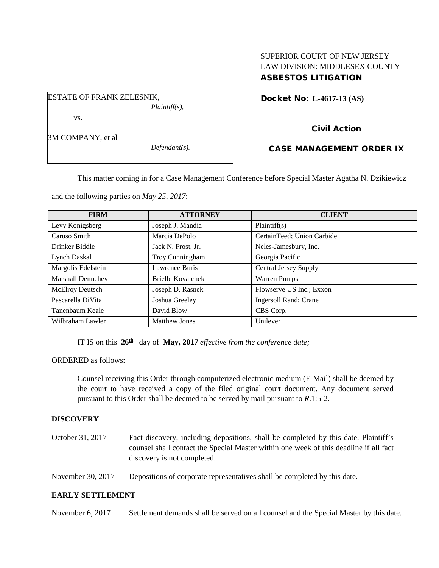# SUPERIOR COURT OF NEW JERSEY LAW DIVISION: MIDDLESEX COUNTY ASBESTOS LITIGATION

Docket No: **L-4617-13 (AS)** 

Civil Action

## CASE MANAGEMENT ORDER IX

This matter coming in for a Case Management Conference before Special Master Agatha N. Dzikiewicz

and the following parties on *May 25, 2017*:

| <b>FIRM</b>              | <b>ATTORNEY</b>      | <b>CLIENT</b>                |
|--------------------------|----------------------|------------------------------|
| Levy Konigsberg          | Joseph J. Mandia     | Plaintiff(s)                 |
| Caruso Smith             | Marcia DePolo        | CertainTeed; Union Carbide   |
| Drinker Biddle           | Jack N. Frost, Jr.   | Neles-Jamesbury, Inc.        |
| Lynch Daskal             | Troy Cunningham      | Georgia Pacific              |
| Margolis Edelstein       | Lawrence Buris       | <b>Central Jersey Supply</b> |
| <b>Marshall Dennehey</b> | Brielle Kovalchek    | <b>Warren Pumps</b>          |
| <b>McElroy Deutsch</b>   | Joseph D. Rasnek     | Flowserve US Inc.; Exxon     |
| Pascarella DiVita        | Joshua Greeley       | Ingersoll Rand; Crane        |
| Tanenbaum Keale          | David Blow           | CBS Corp.                    |
| Wilbraham Lawler         | <b>Matthew Jones</b> | Unilever                     |

IT IS on this  $26^{\text{th}}$  day of May, 2017 *effective from the conference date;* 

ORDERED as follows:

Counsel receiving this Order through computerized electronic medium (E-Mail) shall be deemed by the court to have received a copy of the filed original court document. Any document served pursuant to this Order shall be deemed to be served by mail pursuant to *R*.1:5-2.

### **DISCOVERY**

| October 31, 2017  | Fact discovery, including depositions, shall be completed by this date. Plaintiff's<br>counsel shall contact the Special Master within one week of this deadline if all fact<br>discovery is not completed. |
|-------------------|-------------------------------------------------------------------------------------------------------------------------------------------------------------------------------------------------------------|
| November 30, 2017 | Depositions of corporate representatives shall be completed by this date.                                                                                                                                   |

### **EARLY SETTLEMENT**

November 6, 2017 Settlement demands shall be served on all counsel and the Special Master by this date.

3M COMPANY, et al

vs.

ESTATE OF FRANK ZELESNIK,

*Defendant(s).*

*Plaintiff(s),*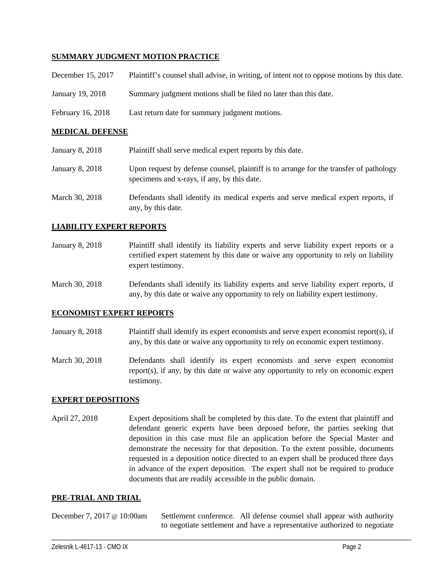### **SUMMARY JUDGMENT MOTION PRACTICE**

| December 15, 2017 | Plaintiff's counsel shall advise, in writing, of intent not to oppose motions by this date. |
|-------------------|---------------------------------------------------------------------------------------------|
| January 19, 2018  | Summary judgment motions shall be filed no later than this date.                            |
| February 16, 2018 | Last return date for summary judgment motions.                                              |

### **MEDICAL DEFENSE**

| January 8, 2018 | Plaintiff shall serve medical expert reports by this date.                                                                            |
|-----------------|---------------------------------------------------------------------------------------------------------------------------------------|
| January 8, 2018 | Upon request by defense counsel, plaintiff is to arrange for the transfer of pathology<br>specimens and x-rays, if any, by this date. |
| March 30, 2018  | Defendants shall identify its medical experts and serve medical expert reports, if<br>any, by this date.                              |

### **LIABILITY EXPERT REPORTS**

- January 8, 2018 Plaintiff shall identify its liability experts and serve liability expert reports or a certified expert statement by this date or waive any opportunity to rely on liability expert testimony.
- March 30, 2018 Defendants shall identify its liability experts and serve liability expert reports, if any, by this date or waive any opportunity to rely on liability expert testimony.

#### **ECONOMIST EXPERT REPORTS**

- January 8, 2018 Plaintiff shall identify its expert economists and serve expert economist report(s), if any, by this date or waive any opportunity to rely on economic expert testimony.
- March 30, 2018 Defendants shall identify its expert economists and serve expert economist report(s), if any, by this date or waive any opportunity to rely on economic expert testimony.

### **EXPERT DEPOSITIONS**

April 27, 2018 Expert depositions shall be completed by this date. To the extent that plaintiff and defendant generic experts have been deposed before, the parties seeking that deposition in this case must file an application before the Special Master and demonstrate the necessity for that deposition. To the extent possible, documents requested in a deposition notice directed to an expert shall be produced three days in advance of the expert deposition. The expert shall not be required to produce documents that are readily accessible in the public domain.

#### **PRE-TRIAL AND TRIAL**

December 7, 2017 @ 10:00am Settlement conference. All defense counsel shall appear with authority to negotiate settlement and have a representative authorized to negotiate

\_\_\_\_\_\_\_\_\_\_\_\_\_\_\_\_\_\_\_\_\_\_\_\_\_\_\_\_\_\_\_\_\_\_\_\_\_\_\_\_\_\_\_\_\_\_\_\_\_\_\_\_\_\_\_\_\_\_\_\_\_\_\_\_\_\_\_\_\_\_\_\_\_\_\_\_\_\_\_\_\_\_\_\_\_\_\_\_\_\_\_\_\_\_\_\_\_\_\_\_\_\_\_\_\_\_\_\_\_\_